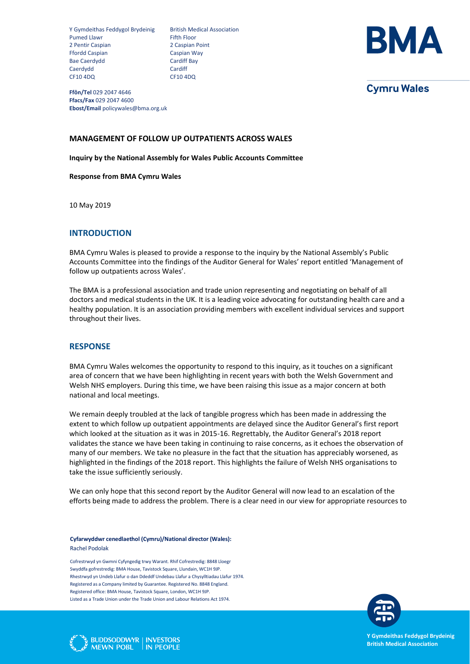Y Gymdeithas Feddygol Brydeinig British Medical Association Pumed Llawr Fifth Floor 2 Pentir Caspian 2 Caspian Point Ffordd Caspian Caspian Way Bae Caerdydd Cardiff Bay Caerdydd Cardiff CF10 4DQ CF10 4DQ



**Cymru Wales** 

**Ffôn/Tel** 029 2047 4646 **Ffacs/Fax** 029 2047 4600 **Ebost/Email** policywales@bma.org.uk

## **MANAGEMENT OF FOLLOW UP OUTPATIENTS ACROSS WALES**

**Inquiry by the National Assembly for Wales Public Accounts Committee**

#### **Response from BMA Cymru Wales**

10 May 2019

# **INTRODUCTION**

BMA Cymru Wales is pleased to provide a response to the inquiry by the National Assembly's Public Accounts Committee into the findings of the Auditor General for Wales' report entitled 'Management of follow up outpatients across Wales'.

The BMA is a professional association and trade union representing and negotiating on behalf of all doctors and medical students in the UK. It is a leading voice advocating for outstanding health care and a healthy population. It is an association providing members with excellent individual services and support throughout their lives.

## **RESPONSE**

BMA Cymru Wales welcomes the opportunity to respond to this inquiry, as it touches on a significant area of concern that we have been highlighting in recent years with both the Welsh Government and Welsh NHS employers. During this time, we have been raising this issue as a major concern at both national and local meetings.

We remain deeply troubled at the lack of tangible progress which has been made in addressing the extent to which follow up outpatient appointments are delayed since the Auditor General's first report which looked at the situation as it was in 2015-16. Regrettably, the Auditor General's 2018 report validates the stance we have been taking in continuing to raise concerns, as it echoes the observation of many of our members. We take no pleasure in the fact that the situation has appreciably worsened, as highlighted in the findings of the 2018 report. This highlights the failure of Welsh NHS organisations to take the issue sufficiently seriously.

We can only hope that this second report by the Auditor General will now lead to an escalation of the efforts being made to address the problem. There is a clear need in our view for appropriate resources to

**Cyfarwyddwr cenedlaethol (Cymru)/National director (Wales):**  Rachel Podolak

Cofrestrwyd yn Gwmni Cyfyngedig trwy Warant. Rhif Cofrestredig: 8848 Lloegr Swyddfa gofrestredig: BMA House, Tavistock Square, Llundain, WC1H 9JP. Rhestrwyd yn Undeb Llafur o dan Ddeddf Undebau Llafur a Chysylltiadau Llafur 1974. Registered as a Company limited by Guarantee. Registered No. 8848 England. Registered office: BMA House, Tavistock Square, London, WC1H 9JP. Listed as a Trade Union under the Trade Union and Labour Relations Act 1974.



**BUDDSODDWYR | INVESTORS** MEWN POBL IN PEOPLE **Y Gymdeithas Feddygol Brydeinig British Medical Association**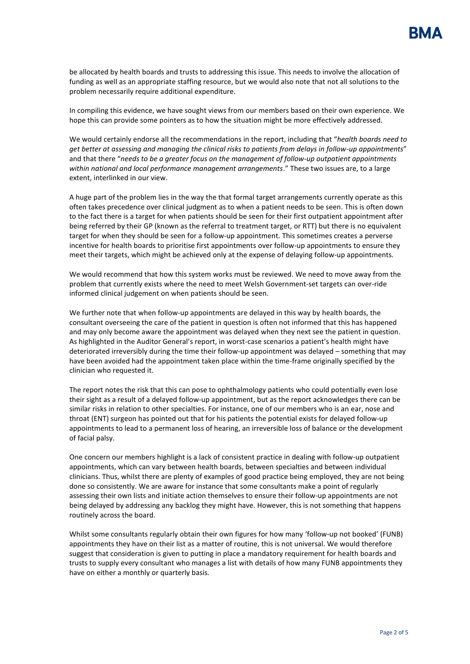be allocated by health boards and trusts to addressing this issue. This needs to involve the allocation of funding as well as an appropriate staffing resource, but we would also note that not all solutions to the problem necessarily require additional expenditure.

In compiling this evidence, we have sought views from our members based on their own experience. We hope this can provide some pointers as to how the situation might be more effectively addressed.

We would certainly endorse all the recommendations in the report, including that "*health boards need to get better at assessing and managing the clinical risks to patients from delays in follow-up appointments*" and that there "*needs to be a greater focus on the management of follow-up outpatient appointments*  within national and local performance management arrangements." These two issues are, to a large extent, interlinked in our view.

A huge part of the problem lies in the way the that formal target arrangements currently operate as this often takes precedence over clinical judgment as to when a patient needs to be seen. This is often down to the fact there is a target for when patients should be seen for their first outpatient appointment after being referred by their GP (known as the referral to treatment target, or RTT) but there is no equivalent target for when they should be seen for a follow-up appointment. This sometimes creates a perverse incentive for health boards to prioritise first appointments over follow-up appointments to ensure they meet their targets, which might be achieved only at the expense of delaying follow-up appointments.

We would recommend that how this system works must be reviewed. We need to move away from the problem that currently exists where the need to meet Welsh Government-set targets can over-ride informed clinical judgement on when patients should be seen.

We further note that when follow-up appointments are delayed in this way by health boards, the consultant overseeing the care of the patient in question is often not informed that this has happened and may only become aware the appointment was delayed when they next see the patient in question. As highlighted in the Auditor General's report, in worst-case scenarios a patient's health might have deteriorated irreversibly during the time their follow-up appointment was delayed – something that may have been avoided had the appointment taken place within the time-frame originally specified by the clinician who requested it.

The report notes the risk that this can pose to ophthalmology patients who could potentially even lose their sight as a result of a delayed follow-up appointment, but as the report acknowledges there can be similar risks in relation to other specialties. For instance, one of our members who is an ear, nose and throat (ENT) surgeon has pointed out that for his patients the potential exists for delayed follow-up appointments to lead to a permanent loss of hearing, an irreversible loss of balance or the development of facial palsy.

One concern our members highlight is a lack of consistent practice in dealing with follow-up outpatient appointments, which can vary between health boards, between specialties and between individual clinicians. Thus, whilst there are plenty of examples of good practice being employed, they are not being done so consistently. We are aware for instance that some consultants make a point of regularly assessing their own lists and initiate action themselves to ensure their follow-up appointments are not being delayed by addressing any backlog they might have. However, this is not something that happens routinely across the board.

Whilst some consultants regularly obtain their own figures for how many 'follow-up not booked' (FUNB) appointments they have on their list as a matter of routine, this is not universal. We would therefore suggest that consideration is given to putting in place a mandatory requirement for health boards and trusts to supply every consultant who manages a list with details of how many FUNB appointments they have on either a monthly or quarterly basis.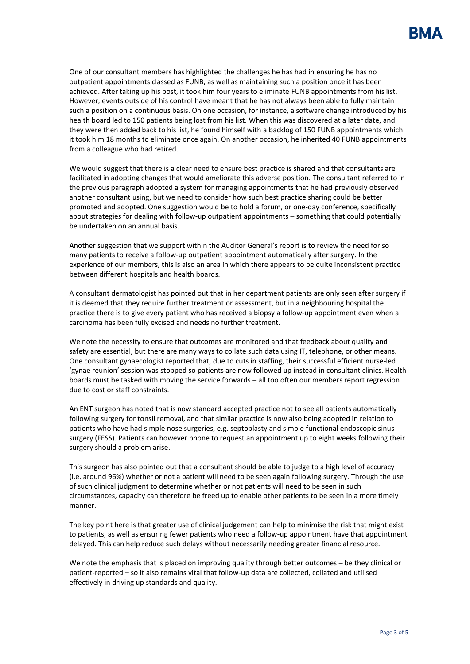One of our consultant members has highlighted the challenges he has had in ensuring he has no outpatient appointments classed as FUNB, as well as maintaining such a position once it has been achieved. After taking up his post, it took him four years to eliminate FUNB appointments from his list. However, events outside of his control have meant that he has not always been able to fully maintain such a position on a continuous basis. On one occasion, for instance, a software change introduced by his health board led to 150 patients being lost from his list. When this was discovered at a later date, and they were then added back to his list, he found himself with a backlog of 150 FUNB appointments which it took him 18 months to eliminate once again. On another occasion, he inherited 40 FUNB appointments from a colleague who had retired.

We would suggest that there is a clear need to ensure best practice is shared and that consultants are facilitated in adopting changes that would ameliorate this adverse position. The consultant referred to in the previous paragraph adopted a system for managing appointments that he had previously observed another consultant using, but we need to consider how such best practice sharing could be better promoted and adopted. One suggestion would be to hold a forum, or one-day conference, specifically about strategies for dealing with follow-up outpatient appointments – something that could potentially be undertaken on an annual basis.

Another suggestion that we support within the Auditor General's report is to review the need for so many patients to receive a follow-up outpatient appointment automatically after surgery. In the experience of our members, this is also an area in which there appears to be quite inconsistent practice between different hospitals and health boards.

A consultant dermatologist has pointed out that in her department patients are only seen after surgery if it is deemed that they require further treatment or assessment, but in a neighbouring hospital the practice there is to give every patient who has received a biopsy a follow-up appointment even when a carcinoma has been fully excised and needs no further treatment.

We note the necessity to ensure that outcomes are monitored and that feedback about quality and safety are essential, but there are many ways to collate such data using IT, telephone, or other means. One consultant gynaecologist reported that, due to cuts in staffing, their successful efficient nurse-led 'gynae reunion' session was stopped so patients are now followed up instead in consultant clinics. Health boards must be tasked with moving the service forwards – all too often our members report regression due to cost or staff constraints.

An ENT surgeon has noted that is now standard accepted practice not to see all patients automatically following surgery for tonsil removal, and that similar practice is now also being adopted in relation to patients who have had simple nose surgeries, e.g. septoplasty and simple functional endoscopic sinus surgery (FESS). Patients can however phone to request an appointment up to eight weeks following their surgery should a problem arise.

This surgeon has also pointed out that a consultant should be able to judge to a high level of accuracy (i.e. around 96%) whether or not a patient will need to be seen again following surgery. Through the use of such clinical judgment to determine whether or not patients will need to be seen in such circumstances, capacity can therefore be freed up to enable other patients to be seen in a more timely manner.

The key point here is that greater use of clinical judgement can help to minimise the risk that might exist to patients, as well as ensuring fewer patients who need a follow-up appointment have that appointment delayed. This can help reduce such delays without necessarily needing greater financial resource.

We note the emphasis that is placed on improving quality through better outcomes – be they clinical or patient-reported – so it also remains vital that follow-up data are collected, collated and utilised effectively in driving up standards and quality.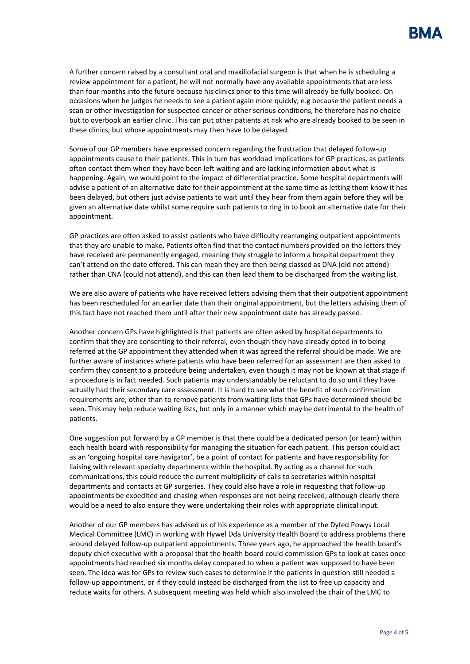A further concern raised by a consultant oral and maxillofacial surgeon is that when he is scheduling a review appointment for a patient, he will not normally have any available appointments that are less than four months into the future because his clinics prior to this time will already be fully booked. On occasions when he judges he needs to see a patient again more quickly, e.g because the patient needs a scan or other investigation for suspected cancer or other serious conditions, he therefore has no choice but to overbook an earlier clinic. This can put other patients at risk who are already booked to be seen in these clinics, but whose appointments may then have to be delayed.

Some of our GP members have expressed concern regarding the frustration that delayed follow-up appointments cause to their patients. This in turn has workload implications for GP practices, as patients often contact them when they have been left waiting and are lacking information about what is happening. Again, we would point to the impact of differential practice. Some hospital departments will advise a patient of an alternative date for their appointment at the same time as letting them know it has been delayed, but others just advise patients to wait until they hear from them again before they will be given an alternative date whilst some require such patients to ring in to book an alternative date for their appointment.

GP practices are often asked to assist patients who have difficulty rearranging outpatient appointments that they are unable to make. Patients often find that the contact numbers provided on the letters they have received are permanently engaged, meaning they struggle to inform a hospital department they can't attend on the date offered. This can mean they are then being classed as DNA (did not attend) rather than CNA (could not attend), and this can then lead them to be discharged from the waiting list.

We are also aware of patients who have received letters advising them that their outpatient appointment has been rescheduled for an earlier date than their original appointment, but the letters advising them of this fact have not reached them until after their new appointment date has already passed.

Another concern GPs have highlighted is that patients are often asked by hospital departments to confirm that they are consenting to their referral, even though they have already opted in to being referred at the GP appointment they attended when it was agreed the referral should be made. We are further aware of instances where patients who have been referred for an assessment are then asked to confirm they consent to a procedure being undertaken, even though it may not be known at that stage if a procedure is in fact needed. Such patients may understandably be reluctant to do so until they have actually had their secondary care assessment. It is hard to see what the benefit of such confirmation requirements are, other than to remove patients from waiting lists that GPs have determined should be seen. This may help reduce waiting lists, but only in a manner which may be detrimental to the health of patients.

One suggestion put forward by a GP member is that there could be a dedicated person (or team) within each health board with responsibility for managing the situation for each patient. This person could act as an 'ongoing hospital care navigator', be a point of contact for patients and have responsibility for liaising with relevant specialty departments within the hospital. By acting as a channel for such communications, this could reduce the current multiplicity of calls to secretaries within hospital departments and contacts at GP surgeries. They could also have a role in requesting that follow-up appointments be expedited and chasing when responses are not being received, although clearly there would be a need to also ensure they were undertaking their roles with appropriate clinical input.

Another of our GP members has advised us of his experience as a member of the Dyfed Powys Local Medical Committee (LMC) in working with Hywel Dda University Health Board to address problems there around delayed follow-up outpatient appointments. Three years ago, he approached the health board's deputy chief executive with a proposal that the health board could commission GPs to look at cases once appointments had reached six months delay compared to when a patient was supposed to have been seen. The idea was for GPs to review such cases to determine if the patients in question still needed a follow-up appointment, or if they could instead be discharged from the list to free up capacity and reduce waits for others. A subsequent meeting was held which also involved the chair of the LMC to